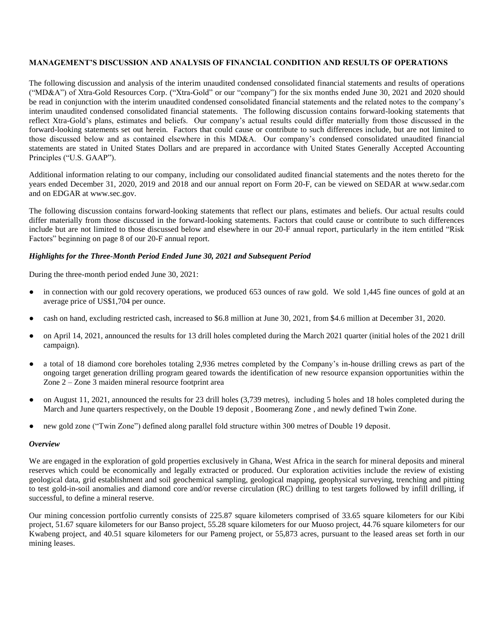## **MANAGEMENT'S DISCUSSION AND ANALYSIS OF FINANCIAL CONDITION AND RESULTS OF OPERATIONS**

The following discussion and analysis of the interim unaudited condensed consolidated financial statements and results of operations ("MD&A") of Xtra-Gold Resources Corp. ("Xtra-Gold" or our "company") for the six months ended June 30, 2021 and 2020 should be read in conjunction with the interim unaudited condensed consolidated financial statements and the related notes to the company's interim unaudited condensed consolidated financial statements. The following discussion contains forward-looking statements that reflect Xtra-Gold's plans, estimates and beliefs. Our company's actual results could differ materially from those discussed in the forward-looking statements set out herein. Factors that could cause or contribute to such differences include, but are not limited to those discussed below and as contained elsewhere in this MD&A. Our company's condensed consolidated unaudited financial statements are stated in United States Dollars and are prepared in accordance with United States Generally Accepted Accounting Principles ("U.S. GAAP").

Additional information relating to our company, including our consolidated audited financial statements and the notes thereto for the years ended December 31, 2020, 2019 and 2018 and our annual report on Form 20-F, can be viewed on SEDAR at [www.sedar.com](http://www.sedar.com/) and on EDGAR at [www.sec.gov.](http://www.sec.gov/)

The following discussion contains forward-looking statements that reflect our plans, estimates and beliefs. Our actual results could differ materially from those discussed in the forward-looking statements. Factors that could cause or contribute to such differences include but are not limited to those discussed below and elsewhere in our 20-F annual report, particularly in the item entitled "Risk Factors" beginning on page 8 of our 20-F annual report.

### *Highlights for the Three-Month Period Ended June 30, 2021 and Subsequent Period*

During the three-month period ended June 30, 2021:

- in connection with our gold recovery operations, we produced 653 ounces of raw gold. We sold 1,445 fine ounces of gold at an average price of US\$1,704 per ounce.
- cash on hand, excluding restricted cash, increased to \$6.8 million at June 30, 2021, from \$4.6 million at December 31, 2020.
- on April 14, 2021, announced the results for 13 drill holes completed during the March 2021 quarter (initial holes of the 2021 drill campaign).
- a total of 18 diamond core boreholes totaling 2,936 metres completed by the Company's in-house drilling crews as part of the ongoing target generation drilling program geared towards the identification of new resource expansion opportunities within the Zone 2 – Zone 3 maiden mineral resource footprint area
- on August 11, 2021, announced the results for 23 drill holes (3,739 metres), including 5 holes and 18 holes completed during the March and June quarters respectively, on the Double 19 deposit , Boomerang Zone , and newly defined Twin Zone.
- new gold zone ("Twin Zone") defined along parallel fold structure within 300 metres of Double 19 deposit.

### *Overview*

We are engaged in the exploration of gold properties exclusively in Ghana, West Africa in the search for mineral deposits and mineral reserves which could be economically and legally extracted or produced. Our exploration activities include the review of existing geological data, grid establishment and soil geochemical sampling, geological mapping, geophysical surveying, trenching and pitting to test gold-in-soil anomalies and diamond core and/or reverse circulation (RC) drilling to test targets followed by infill drilling, if successful, to define a mineral reserve.

Our mining concession portfolio currently consists of 225.87 square kilometers comprised of 33.65 square kilometers for our Kibi project, 51.67 square kilometers for our Banso project, 55.28 square kilometers for our Muoso project, 44.76 square kilometers for our Kwabeng project, and 40.51 square kilometers for our Pameng project, or 55,873 acres, pursuant to the leased areas set forth in our mining leases.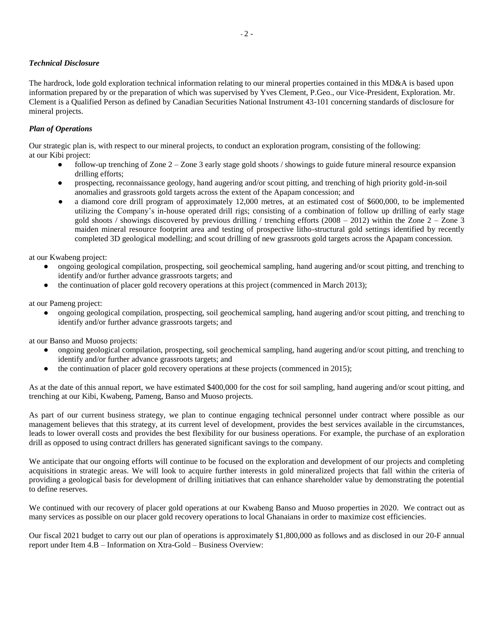# *Technical Disclosure*

The hardrock, lode gold exploration technical information relating to our mineral properties contained in this MD&A is based upon information prepared by or the preparation of which was supervised by Yves Clement, P.Geo., our Vice-President, Exploration. Mr. Clement is a Qualified Person as defined by Canadian Securities National Instrument 43-101 concerning standards of disclosure for mineral projects.

# *Plan of Operations*

Our strategic plan is, with respect to our mineral projects, to conduct an exploration program, consisting of the following: at our Kibi project:

- follow-up trenching of Zone  $2 -$ Zone 3 early stage gold shoots / showings to guide future mineral resource expansion drilling efforts;
- prospecting, reconnaissance geology, hand augering and/or scout pitting, and trenching of high priority gold-in-soil anomalies and grassroots gold targets across the extent of the Apapam concession; and
- **●** a diamond core drill program of approximately 12,000 metres, at an estimated cost of \$600,000, to be implemented utilizing the Company's in-house operated drill rigs; consisting of a combination of follow up drilling of early stage gold shoots / showings discovered by previous drilling / trenching efforts  $(2008 - 2012)$  within the Zone 2 – Zone 3 maiden mineral resource footprint area and testing of prospective litho-structural gold settings identified by recently completed 3D geological modelling; and scout drilling of new grassroots gold targets across the Apapam concession.

at our Kwabeng project:

- **●** ongoing geological compilation, prospecting, soil geochemical sampling, hand augering and/or scout pitting, and trenching to identify and/or further advance grassroots targets; and
- **●** the continuation of placer gold recovery operations at this project (commenced in March 2013);

at our Pameng project:

● ongoing geological compilation, prospecting, soil geochemical sampling, hand augering and/or scout pitting, and trenching to identify and/or further advance grassroots targets; and

at our Banso and Muoso projects:

- **●** ongoing geological compilation, prospecting, soil geochemical sampling, hand augering and/or scout pitting, and trenching to identify and/or further advance grassroots targets; and
- the continuation of placer gold recovery operations at these projects (commenced in 2015);

As at the date of this annual report, we have estimated \$400,000 for the cost for soil sampling, hand augering and/or scout pitting, and trenching at our Kibi, Kwabeng, Pameng, Banso and Muoso projects.

As part of our current business strategy, we plan to continue engaging technical personnel under contract where possible as our management believes that this strategy, at its current level of development, provides the best services available in the circumstances, leads to lower overall costs and provides the best flexibility for our business operations. For example, the purchase of an exploration drill as opposed to using contract drillers has generated significant savings to the company.

We anticipate that our ongoing efforts will continue to be focused on the exploration and development of our projects and completing acquisitions in strategic areas. We will look to acquire further interests in gold mineralized projects that fall within the criteria of providing a geological basis for development of drilling initiatives that can enhance shareholder value by demonstrating the potential to define reserves.

We continued with our recovery of placer gold operations at our Kwabeng Banso and Muoso properties in 2020. We contract out as many services as possible on our placer gold recovery operations to local Ghanaians in order to maximize cost efficiencies.

Our fiscal 2021 budget to carry out our plan of operations is approximately \$1,800,000 as follows and as disclosed in our 20-F annual report under Item 4.B – Information on Xtra-Gold – Business Overview: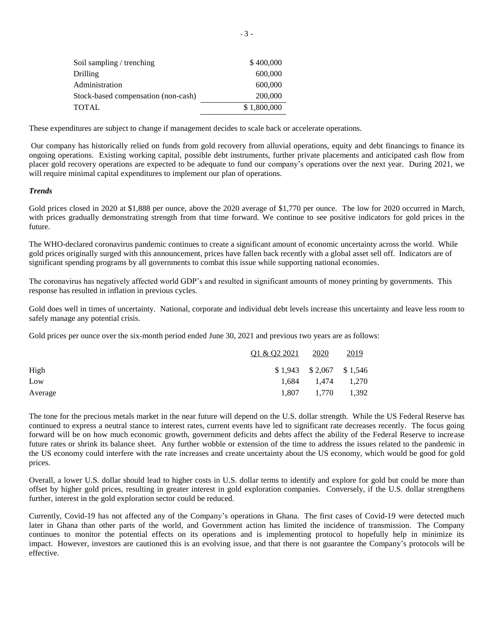| Soil sampling / trenching           | \$400,000   |
|-------------------------------------|-------------|
| Drilling                            | 600,000     |
| Administration                      | 600,000     |
| Stock-based compensation (non-cash) | 200,000     |
| <b>TOTAL</b>                        | \$1,800,000 |

These expenditures are subject to change if management decides to scale back or accelerate operations.

Our company has historically relied on funds from gold recovery from alluvial operations, equity and debt financings to finance its ongoing operations. Existing working capital, possible debt instruments, further private placements and anticipated cash flow from placer gold recovery operations are expected to be adequate to fund our company's operations over the next year. During 2021, we will require minimal capital expenditures to implement our plan of operations.

#### *Trends*

Gold prices closed in 2020 at \$1,888 per ounce, above the 2020 average of \$1,770 per ounce. The low for 2020 occurred in March, with prices gradually demonstrating strength from that time forward. We continue to see positive indicators for gold prices in the future.

The WHO-declared coronavirus pandemic continues to create a significant amount of economic uncertainty across the world. While gold prices originally surged with this announcement, prices have fallen back recently with a global asset sell off. Indicators are of significant spending programs by all governments to combat this issue while supporting national economies.

The coronavirus has negatively affected world GDP's and resulted in significant amounts of money printing by governments. This response has resulted in inflation in previous cycles.

Gold does well in times of uncertainty. National, corporate and individual debt levels increase this uncertainty and leave less room to safely manage any potential crisis.

Gold prices per ounce over the six-month period ended June 30, 2021 and previous two years are as follows:

|         | Q1 & Q2 & 2021 | 2020                       | 2019  |
|---------|----------------|----------------------------|-------|
| High    |                | $$1,943$ $$2,067$ $$1,546$ |       |
| Low     |                | $1,684$ $1,474$ $1,270$    |       |
| Average | 1.807          | 1.770                      | 1,392 |

The tone for the precious metals market in the near future will depend on the U.S. dollar strength. While the US Federal Reserve has continued to express a neutral stance to interest rates, current events have led to significant rate decreases recently. The focus going forward will be on how much economic growth, government deficits and debts affect the ability of the Federal Reserve to increase future rates or shrink its balance sheet. Any further wobble or extension of the time to address the issues related to the pandemic in the US economy could interfere with the rate increases and create uncertainty about the US economy, which would be good for gold prices.

Overall, a lower U.S. dollar should lead to higher costs in U.S. dollar terms to identify and explore for gold but could be more than offset by higher gold prices, resulting in greater interest in gold exploration companies. Conversely, if the U.S. dollar strengthens further, interest in the gold exploration sector could be reduced.

Currently, Covid-19 has not affected any of the Company's operations in Ghana. The first cases of Covid-19 were detected much later in Ghana than other parts of the world, and Government action has limited the incidence of transmission. The Company continues to monitor the potential effects on its operations and is implementing protocol to hopefully help in minimize its impact. However, investors are cautioned this is an evolving issue, and that there is not guarantee the Company's protocols will be effective.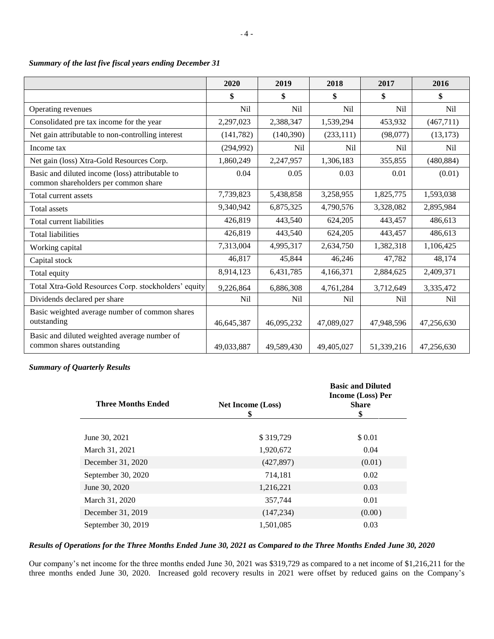|                                                                                         | 2020            | 2019            | 2018            | 2017            | 2016            |
|-----------------------------------------------------------------------------------------|-----------------|-----------------|-----------------|-----------------|-----------------|
|                                                                                         | \$              | \$              | \$              | \$              | \$              |
| Operating revenues                                                                      | N <sub>il</sub> | N <sub>il</sub> | N <sub>il</sub> | N <sub>il</sub> | N <sub>il</sub> |
| Consolidated pre tax income for the year                                                | 2,297,023       | 2,388,347       | 1,539,294       | 453,932         | (467,711)       |
| Net gain attributable to non-controlling interest                                       | (141, 782)      | (140,390)       | (233, 111)      | (98,077)        | (13, 173)       |
| Income tax                                                                              | (294, 992)      | N <sub>il</sub> | N <sub>il</sub> | N <sub>il</sub> | N <sub>il</sub> |
| Net gain (loss) Xtra-Gold Resources Corp.                                               | 1,860,249       | 2,247,957       | 1,306,183       | 355,855         | (480, 884)      |
| Basic and diluted income (loss) attributable to<br>common shareholders per common share | 0.04            | 0.05            | 0.03            | 0.01            | (0.01)          |
| Total current assets                                                                    | 7,739,823       | 5,438,858       | 3,258,955       | 1,825,775       | 1,593,038       |
| Total assets                                                                            | 9,340,942       | 6,875,325       | 4,790,576       | 3,328,082       | 2,895,984       |
| Total current liabilities                                                               | 426,819         | 443,540         | 624,205         | 443,457         | 486,613         |
| <b>Total liabilities</b>                                                                | 426,819         | 443,540         | 624,205         | 443,457         | 486,613         |
| Working capital                                                                         | 7,313,004       | 4,995,317       | 2,634,750       | 1,382,318       | 1,106,425       |
| Capital stock                                                                           | 46,817          | 45,844          | 46,246          | 47,782          | 48,174          |
| Total equity                                                                            | 8,914,123       | 6,431,785       | 4,166,371       | 2,884,625       | 2,409,371       |
| Total Xtra-Gold Resources Corp. stockholders' equity                                    | 9,226,864       | 6,886,308       | 4,761,284       | 3,712,649       | 3,335,472       |
| Dividends declared per share                                                            | Nil             | Nil             | Nil             | Nil             | Nil             |
| Basic weighted average number of common shares<br>outstanding                           | 46,645,387      | 46,095,232      | 47,089,027      | 47,948,596      | 47,256,630      |
| Basic and diluted weighted average number of<br>common shares outstanding               | 49,033,887      | 49,589,430      | 49,405,027      | 51,339,216      | 47,256,630      |

## *Summary of the last five fiscal years ending December 31*

## *Summary of Quarterly Results*

| <b>Three Months Ended</b> | <b>Net Income (Loss)</b><br>\$ | <b>Basic and Diluted</b><br>Income (Loss) Per<br><b>Share</b><br>\$ |
|---------------------------|--------------------------------|---------------------------------------------------------------------|
| June 30, 2021             | \$319,729                      | \$ 0.01                                                             |
| March 31, 2021            | 1,920,672                      | 0.04                                                                |
| December 31, 2020         | (427, 897)                     | (0.01)                                                              |
| September 30, 2020        | 714,181                        | 0.02                                                                |
| June 30, 2020             | 1,216,221                      | 0.03                                                                |
| March 31, 2020            | 357.744                        | 0.01                                                                |
| December 31, 2019         | (147, 234)                     | (0.00)                                                              |
| September 30, 2019        | 1,501,085                      | 0.03                                                                |

# *Results of Operations for the Three Months Ended June 30, 2021 as Compared to the Three Months Ended June 30, 2020*

Our company's net income for the three months ended June 30, 2021 was \$319,729 as compared to a net income of \$1,216,211 for the three months ended June 30, 2020. Increased gold recovery results in 2021 were offset by reduced gains on the Company's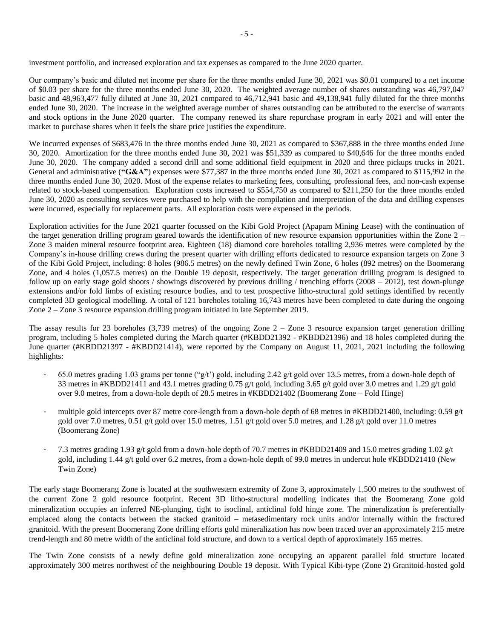investment portfolio, and increased exploration and tax expenses as compared to the June 2020 quarter.

Our company's basic and diluted net income per share for the three months ended June 30, 2021 was \$0.01 compared to a net income of \$0.03 per share for the three months ended June 30, 2020. The weighted average number of shares outstanding was 46,797,047 basic and 48,963,477 fully diluted at June 30, 2021 compared to 46,712,941 basic and 49,138,941 fully diluted for the three months ended June 30, 2020. The increase in the weighted average number of shares outstanding can be attributed to the exercise of warrants and stock options in the June 2020 quarter. The company renewed its share repurchase program in early 2021 and will enter the market to purchase shares when it feels the share price justifies the expenditure.

We incurred expenses of \$683,476 in the three months ended June 30, 2021 as compared to \$367,888 in the three months ended June 30, 2020. Amortization for the three months ended June 30, 2021 was \$51,339 as compared to \$40,646 for the three months ended June 30, 2020. The company added a second drill and some additional field equipment in 2020 and three pickups trucks in 2021. General and administrative (**"G&A"**) expenses were \$77,387 in the three months ended June 30, 2021 as compared to \$115,992 in the three months ended June 30, 2020. Most of the expense relates to marketing fees, consulting, professional fees, and non-cash expense related to stock-based compensation. Exploration costs increased to \$554,750 as compared to \$211,250 for the three months ended June 30, 2020 as consulting services were purchased to help with the compilation and interpretation of the data and drilling expenses were incurred, especially for replacement parts. All exploration costs were expensed in the periods.

Exploration activities for the June 2021 quarter focussed on the Kibi Gold Project (Apapam Mining Lease) with the continuation of the target generation drilling program geared towards the identification of new resource expansion opportunities within the Zone 2 – Zone 3 maiden mineral resource footprint area. Eighteen (18) diamond core boreholes totalling 2,936 metres were completed by the Company's in-house drilling crews during the present quarter with drilling efforts dedicated to resource expansion targets on Zone 3 of the Kibi Gold Project, including: 8 holes (986.5 metres) on the newly defined Twin Zone, 6 holes (892 metres) on the Boomerang Zone, and 4 holes (1,057.5 metres) on the Double 19 deposit, respectively. The target generation drilling program is designed to follow up on early stage gold shoots / showings discovered by previous drilling / trenching efforts (2008 – 2012), test down-plunge extensions and/or fold limbs of existing resource bodies, and to test prospective litho-structural gold settings identified by recently completed 3D geological modelling. A total of 121 boreholes totaling 16,743 metres have been completed to date during the ongoing Zone 2 – Zone 3 resource expansion drilling program initiated in late September 2019.

The assay results for 23 boreholes  $(3,739$  metres) of the ongoing Zone  $2 -$ Zone 3 resource expansion target generation drilling program, including 5 holes completed during the March quarter (#KBDD21392 - #KBDD21396) and 18 holes completed during the June quarter (#KBDD21397 - #KBDD21414), were reported by the Company on August 11, 2021, 2021 including the following highlights:

- 65.0 metres grading 1.03 grams per tonne ("g/t') gold, including 2.42 g/t gold over 13.5 metres, from a down-hole depth of 33 metres in #KBDD21411 and 43.1 metres grading 0.75 g/t gold, including 3.65 g/t gold over 3.0 metres and 1.29 g/t gold over 9.0 metres, from a down-hole depth of 28.5 metres in #KBDD21402 (Boomerang Zone – Fold Hinge)
- multiple gold intercepts over 87 metre core-length from a down-hole depth of 68 metres in #KBDD21400, including: 0.59 g/t gold over 7.0 metres, 0.51 g/t gold over 15.0 metres, 1.51 g/t gold over 5.0 metres, and 1.28 g/t gold over 11.0 metres (Boomerang Zone)
- 7.3 metres grading 1.93 g/t gold from a down-hole depth of 70.7 metres in #KBDD21409 and 15.0 metres grading 1.02 g/t gold, including 1.44 g/t gold over 6.2 metres, from a down-hole depth of 99.0 metres in undercut hole #KBDD21410 (New Twin Zone)

The early stage Boomerang Zone is located at the southwestern extremity of Zone 3, approximately 1,500 metres to the southwest of the current Zone 2 gold resource footprint. Recent 3D litho-structural modelling indicates that the Boomerang Zone gold mineralization occupies an inferred NE-plunging, tight to isoclinal, anticlinal fold hinge zone. The mineralization is preferentially emplaced along the contacts between the stacked granitoid – metasedimentary rock units and/or internally within the fractured granitoid. With the present Boomerang Zone drilling efforts gold mineralization has now been traced over an approximately 215 metre trend-length and 80 metre width of the anticlinal fold structure, and down to a vertical depth of approximately 165 metres.

The Twin Zone consists of a newly define gold mineralization zone occupying an apparent parallel fold structure located approximately 300 metres northwest of the neighbouring Double 19 deposit. With Typical Kibi-type (Zone 2) Granitoid-hosted gold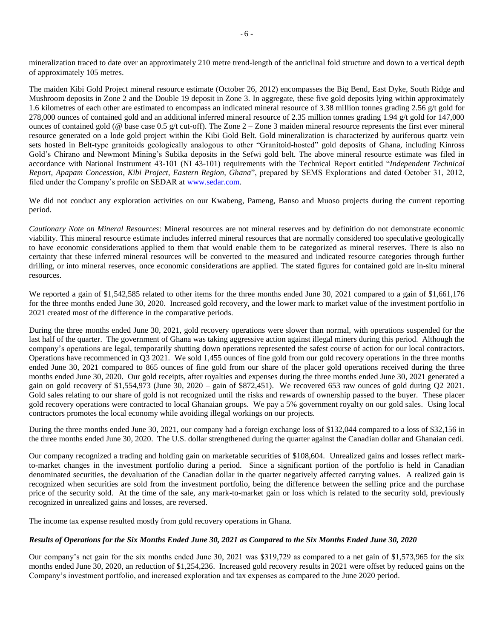mineralization traced to date over an approximately 210 metre trend-length of the anticlinal fold structure and down to a vertical depth of approximately 105 metres.

The maiden Kibi Gold Project mineral resource estimate (October 26, 2012) encompasses the Big Bend, East Dyke, South Ridge and Mushroom deposits in Zone 2 and the Double 19 deposit in Zone 3. In aggregate, these five gold deposits lying within approximately 1.6 kilometres of each other are estimated to encompass an indicated mineral resource of 3.38 million tonnes grading 2.56 g/t gold for 278,000 ounces of contained gold and an additional inferred mineral resource of 2.35 million tonnes grading 1.94 g/t gold for 147,000 ounces of contained gold ( $@$  base case 0.5 g/t cut-off). The Zone 2 – Zone 3 maiden mineral resource represents the first ever mineral resource generated on a lode gold project within the Kibi Gold Belt. Gold mineralization is characterized by auriferous quartz vein sets hosted in Belt-type granitoids geologically analogous to other "Granitoid-hosted" gold deposits of Ghana, including Kinross Gold's Chirano and Newmont Mining's Subika deposits in the Sefwi gold belt. The above mineral resource estimate was filed in accordance with National Instrument 43-101 (NI 43-101) requirements with the Technical Report entitled "*Independent Technical Report, Apapam Concession, Kibi Project, Eastern Region, Ghana*", prepared by SEMS Explorations and dated October 31, 2012, filed under the Company's profile on SEDAR at [www.sedar.com.](http://www.sedar.com/)

We did not conduct any exploration activities on our Kwabeng, Pameng, Banso and Muoso projects during the current reporting period.

*Cautionary Note on Mineral Resources*: Mineral resources are not mineral reserves and by definition do not demonstrate economic viability. This mineral resource estimate includes inferred mineral resources that are normally considered too speculative geologically to have economic considerations applied to them that would enable them to be categorized as mineral reserves. There is also no certainty that these inferred mineral resources will be converted to the measured and indicated resource categories through further drilling, or into mineral reserves, once economic considerations are applied. The stated figures for contained gold are in-situ mineral resources.

We reported a gain of \$1,542,585 related to other items for the three months ended June 30, 2021 compared to a gain of \$1,661,176 for the three months ended June 30, 2020. Increased gold recovery, and the lower mark to market value of the investment portfolio in 2021 created most of the difference in the comparative periods.

During the three months ended June 30, 2021, gold recovery operations were slower than normal, with operations suspended for the last half of the quarter. The government of Ghana was taking aggressive action against illegal miners during this period. Although the company's operations are legal, temporarily shutting down operations represented the safest course of action for our local contractors. Operations have recommenced in Q3 2021. We sold 1,455 ounces of fine gold from our gold recovery operations in the three months ended June 30, 2021 compared to 865 ounces of fine gold from our share of the placer gold operations received during the three months ended June 30, 2020. Our gold receipts, after royalties and expenses during the three months ended June 30, 2021 generated a gain on gold recovery of \$1,554,973 (June 30, 2020 – gain of \$872,451). We recovered 653 raw ounces of gold during Q2 2021. Gold sales relating to our share of gold is not recognized until the risks and rewards of ownership passed to the buyer. These placer gold recovery operations were contracted to local Ghanaian groups. We pay a 5% government royalty on our gold sales. Using local contractors promotes the local economy while avoiding illegal workings on our projects.

During the three months ended June 30, 2021, our company had a foreign exchange loss of \$132,044 compared to a loss of \$32,156 in the three months ended June 30, 2020. The U.S. dollar strengthened during the quarter against the Canadian dollar and Ghanaian cedi.

Our company recognized a trading and holding gain on marketable securities of \$108,604. Unrealized gains and losses reflect markto-market changes in the investment portfolio during a period. Since a significant portion of the portfolio is held in Canadian denominated securities, the devaluation of the Canadian dollar in the quarter negatively affected carrying values. A realized gain is recognized when securities are sold from the investment portfolio, being the difference between the selling price and the purchase price of the security sold. At the time of the sale, any mark-to-market gain or loss which is related to the security sold, previously recognized in unrealized gains and losses, are reversed.

The income tax expense resulted mostly from gold recovery operations in Ghana.

### *Results of Operations for the Six Months Ended June 30, 2021 as Compared to the Six Months Ended June 30, 2020*

Our company's net gain for the six months ended June 30, 2021 was \$319,729 as compared to a net gain of \$1,573,965 for the six months ended June 30, 2020, an reduction of \$1,254,236. Increased gold recovery results in 2021 were offset by reduced gains on the Company's investment portfolio, and increased exploration and tax expenses as compared to the June 2020 period.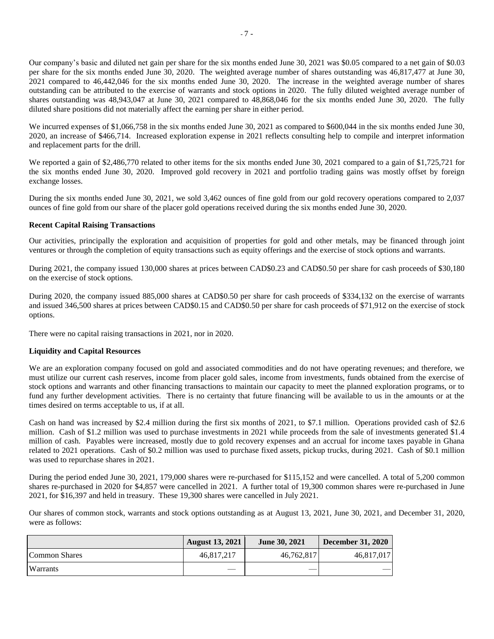Our company's basic and diluted net gain per share for the six months ended June 30, 2021 was \$0.05 compared to a net gain of \$0.03 per share for the six months ended June 30, 2020. The weighted average number of shares outstanding was 46,817,477 at June 30, 2021 compared to 46,442,046 for the six months ended June 30, 2020. The increase in the weighted average number of shares outstanding can be attributed to the exercise of warrants and stock options in 2020. The fully diluted weighted average number of shares outstanding was 48,943,047 at June 30, 2021 compared to 48,868,046 for the six months ended June 30, 2020. The fully diluted share positions did not materially affect the earning per share in either period.

We incurred expenses of \$1,066,758 in the six months ended June 30, 2021 as compared to \$600,044 in the six months ended June 30, 2020, an increase of \$466,714. Increased exploration expense in 2021 reflects consulting help to compile and interpret information and replacement parts for the drill.

We reported a gain of \$2,486,770 related to other items for the six months ended June 30, 2021 compared to a gain of \$1,725,721 for the six months ended June 30, 2020. Improved gold recovery in 2021 and portfolio trading gains was mostly offset by foreign exchange losses.

During the six months ended June 30, 2021, we sold 3,462 ounces of fine gold from our gold recovery operations compared to 2,037 ounces of fine gold from our share of the placer gold operations received during the six months ended June 30, 2020.

## **Recent Capital Raising Transactions**

Our activities, principally the exploration and acquisition of properties for gold and other metals, may be financed through joint ventures or through the completion of equity transactions such as equity offerings and the exercise of stock options and warrants.

During 2021, the company issued 130,000 shares at prices between CAD\$0.23 and CAD\$0.50 per share for cash proceeds of \$30,180 on the exercise of stock options.

During 2020, the company issued 885,000 shares at CAD\$0.50 per share for cash proceeds of \$334,132 on the exercise of warrants and issued 346,500 shares at prices between CAD\$0.15 and CAD\$0.50 per share for cash proceeds of \$71,912 on the exercise of stock options.

There were no capital raising transactions in 2021, nor in 2020.

## **Liquidity and Capital Resources**

We are an exploration company focused on gold and associated commodities and do not have operating revenues; and therefore, we must utilize our current cash reserves, income from placer gold sales, income from investments, funds obtained from the exercise of stock options and warrants and other financing transactions to maintain our capacity to meet the planned exploration programs, or to fund any further development activities. There is no certainty that future financing will be available to us in the amounts or at the times desired on terms acceptable to us, if at all.

Cash on hand was increased by \$2.4 million during the first six months of 2021, to \$7.1 million. Operations provided cash of \$2.6 million. Cash of \$1.2 million was used to purchase investments in 2021 while proceeds from the sale of investments generated \$1.4 million of cash. Payables were increased, mostly due to gold recovery expenses and an accrual for income taxes payable in Ghana related to 2021 operations. Cash of \$0.2 million was used to purchase fixed assets, pickup trucks, during 2021. Cash of \$0.1 million was used to repurchase shares in 2021.

During the period ended June 30, 2021, 179,000 shares were re-purchased for \$115,152 and were cancelled. A total of 5,200 common shares re-purchased in 2020 for \$4,857 were cancelled in 2021. A further total of 19,300 common shares were re-purchased in June 2021, for \$16,397 and held in treasury. These 19,300 shares were cancelled in July 2021.

Our shares of common stock, warrants and stock options outstanding as at August 13, 2021, June 30, 2021, and December 31, 2020, were as follows:

|               | <b>August 13, 2021</b> | <b>June 30, 2021</b> | <b>December 31, 2020</b> |
|---------------|------------------------|----------------------|--------------------------|
| Common Shares | 46.817.217             | 46.762.817           | 46.817.017               |
| Warrants      |                        | $\sim$               |                          |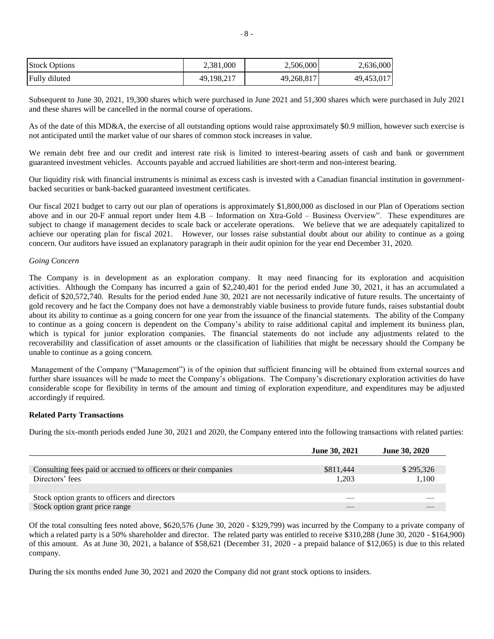| <b>Stock Options</b> | 2,381,000  | 2,506,000  | 2,636,000  |
|----------------------|------------|------------|------------|
| Fully diluted        | 49,198,217 | 49,268,817 | 49,453,017 |

Subsequent to June 30, 2021, 19,300 shares which were purchased in June 2021 and 51,300 shares which were purchased in July 2021 and these shares will be cancelled in the normal course of operations.

As of the date of this MD&A, the exercise of all outstanding options would raise approximately \$0.9 million, however such exercise is not anticipated until the market value of our shares of common stock increases in value.

We remain debt free and our credit and interest rate risk is limited to interest-bearing assets of cash and bank or government guaranteed investment vehicles. Accounts payable and accrued liabilities are short-term and non-interest bearing.

Our liquidity risk with financial instruments is minimal as excess cash is invested with a Canadian financial institution in governmentbacked securities or bank-backed guaranteed investment certificates.

Our fiscal 2021 budget to carry out our plan of operations is approximately \$1,800,000 as disclosed in our Plan of Operations section above and in our 20-F annual report under Item 4.B – Information on Xtra-Gold – Business Overview". These expenditures are subject to change if management decides to scale back or accelerate operations. We believe that we are adequately capitalized to achieve our operating plan for fiscal 2021. However, our losses raise substantial doubt about our ability to continue as a going concern. Our auditors have issued an explanatory paragraph in their audit opinion for the year end December 31, 2020.

### *Going Concern*

The Company is in development as an exploration company. It may need financing for its exploration and acquisition activities. Although the Company has incurred a gain of \$2,240,401 for the period ended June 30, 2021, it has an accumulated a deficit of \$20,572,740. Results for the period ended June 30, 2021 are not necessarily indicative of future results. The uncertainty of gold recovery and he fact the Company does not have a demonstrably viable business to provide future funds, raises substantial doubt about its ability to continue as a going concern for one year from the issuance of the financial statements. The ability of the Company to continue as a going concern is dependent on the Company's ability to raise additional capital and implement its business plan, which is typical for junior exploration companies. The financial statements do not include any adjustments related to the recoverability and classification of asset amounts or the classification of liabilities that might be necessary should the Company be unable to continue as a going concern.

Management of the Company ("Management") is of the opinion that sufficient financing will be obtained from external sources and further share issuances will be made to meet the Company's obligations. The Company's discretionary exploration activities do have considerable scope for flexibility in terms of the amount and timing of exploration expenditure, and expenditures may be adjusted accordingly if required.

## **Related Party Transactions**

During the six-month periods ended June 30, 2021 and 2020, the Company entered into the following transactions with related parties:

|                                                                | <b>June 30, 2021</b> | <b>June 30, 2020</b> |
|----------------------------------------------------------------|----------------------|----------------------|
|                                                                |                      |                      |
| Consulting fees paid or accrued to officers or their companies | \$811,444            | \$295,326            |
| Directors' fees                                                | 1.203                | 1,100                |
|                                                                |                      |                      |
| Stock option grants to officers and directors                  |                      |                      |
| Stock option grant price range                                 |                      |                      |

Of the total consulting fees noted above, \$620,576 (June 30, 2020 - \$329,799) was incurred by the Company to a private company of which a related party is a 50% shareholder and director. The related party was entitled to receive \$310,288 (June 30, 2020 - \$164,900) of this amount. As at June 30, 2021, a balance of \$58,621 (December 31, 2020 - a prepaid balance of \$12,065) is due to this related company.

During the six months ended June 30, 2021 and 2020 the Company did not grant stock options to insiders.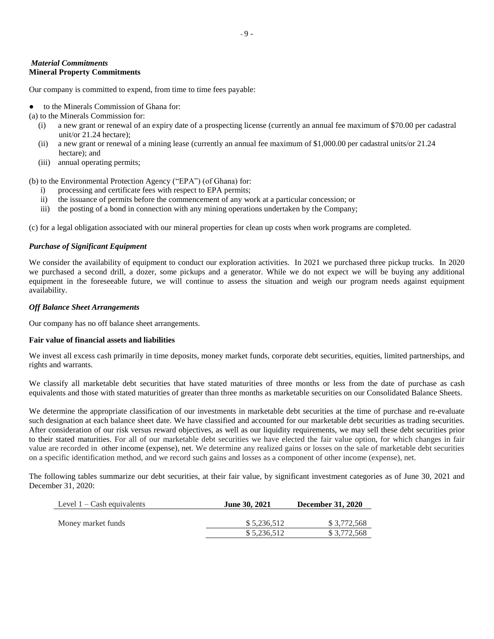## *Material Commitments* **Mineral Property Commitments**

Our company is committed to expend, from time to time fees payable:

to the Minerals Commission of Ghana for:

- (a) to the Minerals Commission for:
	- (i) a new grant or renewal of an expiry date of a prospecting license (currently an annual fee maximum of \$70.00 per cadastral unit/or 21.24 hectare);
	- (ii) a new grant or renewal of a mining lease (currently an annual fee maximum of \$1,000.00 per cadastral units/or 21.24 hectare); and
	- (iii) annual operating permits;

(b) to the Environmental Protection Agency ("EPA") (of Ghana) for:

- i) processing and certificate fees with respect to EPA permits;
- ii) the issuance of permits before the commencement of any work at a particular concession; or
- iii) the posting of a bond in connection with any mining operations undertaken by the Company;

(c) for a legal obligation associated with our mineral properties for clean up costs when work programs are completed.

## *Purchase of Significant Equipment*

We consider the availability of equipment to conduct our exploration activities. In 2021 we purchased three pickup trucks. In 2020 we purchased a second drill, a dozer, some pickups and a generator. While we do not expect we will be buying any additional equipment in the foreseeable future, we will continue to assess the situation and weigh our program needs against equipment availability.

## *Off Balance Sheet Arrangements*

Our company has no off balance sheet arrangements.

### **Fair value of financial assets and liabilities**

We invest all excess cash primarily in time deposits, money market funds, corporate debt securities, equities, limited partnerships, and rights and warrants.

We classify all marketable debt securities that have stated maturities of three months or less from the date of purchase as cash equivalents and those with stated maturities of greater than three months as marketable securities on our Consolidated Balance Sheets.

We determine the appropriate classification of our investments in marketable debt securities at the time of purchase and re-evaluate such designation at each balance sheet date. We have classified and accounted for our marketable debt securities as trading securities. After consideration of our risk versus reward objectives, as well as our liquidity requirements, we may sell these debt securities prior to their stated maturities. For all of our marketable debt securities we have elected the fair value option, for which changes in fair value are recorded in other income (expense), net. We determine any realized gains or losses on the sale of marketable debt securities on a specific identification method, and we record such gains and losses as a component of other income (expense), net.

The following tables summarize our debt securities, at their fair value, by significant investment categories as of June 30, 2021 and December 31, 2020:

| Level $1 -$ Cash equivalents | <b>June 30, 2021</b> | <b>December 31, 2020</b> |
|------------------------------|----------------------|--------------------------|
|                              |                      |                          |
| Money market funds           | \$5.236.512          | \$3,772,568              |
|                              | \$5,236,512          | \$3,772,568              |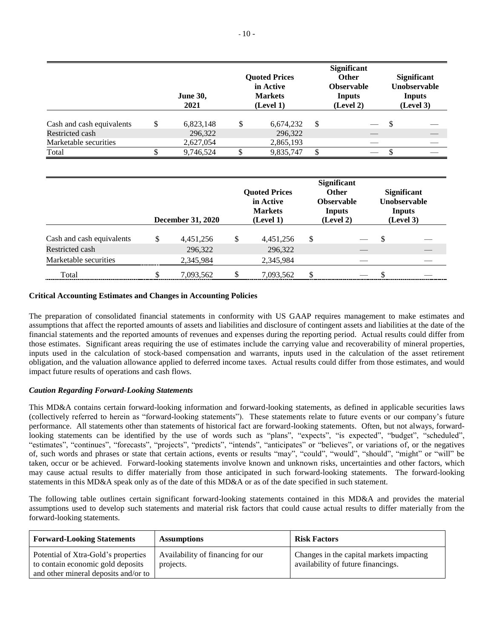|                           | <b>June 30,</b><br>2021 | <b>Quoted Prices</b><br>in Active<br><b>Markets</b><br>(Level 1) |   | <b>Significant</b><br><b>Other</b><br><b>Observable</b><br><b>Inputs</b><br>(Level 2) |   | <b>Significant</b><br><b>Unobservable</b><br><b>Inputs</b><br>(Level 3) |
|---------------------------|-------------------------|------------------------------------------------------------------|---|---------------------------------------------------------------------------------------|---|-------------------------------------------------------------------------|
| Cash and cash equivalents | \$<br>6,823,148         | \$<br>6,674,232                                                  | S |                                                                                       | S |                                                                         |
| Restricted cash           | 296,322                 | 296,322                                                          |   |                                                                                       |   |                                                                         |
| Marketable securities     | 2,627,054               | 2,865,193                                                        |   |                                                                                       |   |                                                                         |
| Total                     | 9,746,524               | 9,835,747                                                        |   |                                                                                       |   |                                                                         |

|                           | <b>December 31, 2020</b> |           | <b>Ouoted Prices</b><br>in Active<br><b>Markets</b><br>(Level 1) | <b>Significant</b><br><b>Other</b><br><b>Observable</b><br>Inputs<br>(Level 2) |  | <b>Significant</b><br><b>Unobservable</b><br>Inputs<br>(Level 3) |  |
|---------------------------|--------------------------|-----------|------------------------------------------------------------------|--------------------------------------------------------------------------------|--|------------------------------------------------------------------|--|
| Cash and cash equivalents | \$                       | 4,451,256 | \$<br>4,451,256                                                  | S                                                                              |  | <sup>\$</sup>                                                    |  |
| Restricted cash           |                          | 296,322   | 296,322                                                          |                                                                                |  |                                                                  |  |
| Marketable securities     |                          | 2,345,984 | 2,345,984                                                        |                                                                                |  |                                                                  |  |
| Total                     |                          | 7,093,562 | 7,093,562                                                        | \$                                                                             |  |                                                                  |  |

### **Critical Accounting Estimates and Changes in Accounting Policies**

The preparation of consolidated financial statements in conformity with US GAAP requires management to make estimates and assumptions that affect the reported amounts of assets and liabilities and disclosure of contingent assets and liabilities at the date of the financial statements and the reported amounts of revenues and expenses during the reporting period. Actual results could differ from those estimates. Significant areas requiring the use of estimates include the carrying value and recoverability of mineral properties, inputs used in the calculation of stock-based compensation and warrants, inputs used in the calculation of the asset retirement obligation, and the valuation allowance applied to deferred income taxes. Actual results could differ from those estimates, and would impact future results of operations and cash flows.

### *Caution Regarding Forward-Looking Statements*

This MD&A contains certain forward-looking information and forward-looking statements, as defined in applicable securities laws (collectively referred to herein as "forward-looking statements"). These statements relate to future events or our company's future performance. All statements other than statements of historical fact are forward-looking statements. Often, but not always, forwardlooking statements can be identified by the use of words such as "plans", "expects", "is expected", "budget", "scheduled", "estimates", "continues", "forecasts", "projects", "predicts", "intends", "anticipates" or "believes", or variations of, or the negatives of, such words and phrases or state that certain actions, events or results "may", "could", "would", "should", "might" or "will" be taken, occur or be achieved. Forward-looking statements involve known and unknown risks, uncertainties and other factors, which may cause actual results to differ materially from those anticipated in such forward-looking statements. The forward-looking statements in this MD&A speak only as of the date of this MD&A or as of the date specified in such statement.

The following table outlines certain significant forward-looking statements contained in this MD&A and provides the material assumptions used to develop such statements and material risk factors that could cause actual results to differ materially from the forward-looking statements.

| <b>Forward-Looking Statements</b>                                        | <b>Assumptions</b>                             | <b>Risk Factors</b>                                                            |
|--------------------------------------------------------------------------|------------------------------------------------|--------------------------------------------------------------------------------|
| Potential of Xtra-Gold's properties<br>to contain economic gold deposits | Availability of financing for our<br>projects. | Changes in the capital markets impacting<br>availability of future financings. |
| and other mineral deposits and/or to                                     |                                                |                                                                                |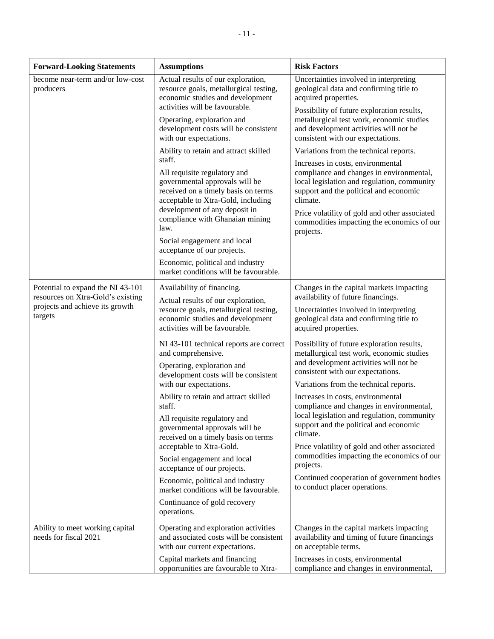| <b>Forward-Looking Statements</b>                                                                                    | <b>Assumptions</b>                                                                                                                                                                                                                                                                                                                                                                                                                                                                                                                                                                                                                                                                                                                  | <b>Risk Factors</b>                                                                                                                                                                                                                                                                                                                                                                                                                                                                                                                                                                                                                                                                                                                                                                              |  |  |  |
|----------------------------------------------------------------------------------------------------------------------|-------------------------------------------------------------------------------------------------------------------------------------------------------------------------------------------------------------------------------------------------------------------------------------------------------------------------------------------------------------------------------------------------------------------------------------------------------------------------------------------------------------------------------------------------------------------------------------------------------------------------------------------------------------------------------------------------------------------------------------|--------------------------------------------------------------------------------------------------------------------------------------------------------------------------------------------------------------------------------------------------------------------------------------------------------------------------------------------------------------------------------------------------------------------------------------------------------------------------------------------------------------------------------------------------------------------------------------------------------------------------------------------------------------------------------------------------------------------------------------------------------------------------------------------------|--|--|--|
| become near-term and/or low-cost<br>producers                                                                        | Actual results of our exploration,<br>resource goals, metallurgical testing,<br>economic studies and development<br>activities will be favourable.<br>Operating, exploration and<br>development costs will be consistent<br>with our expectations.<br>Ability to retain and attract skilled<br>staff.<br>All requisite regulatory and<br>governmental approvals will be<br>received on a timely basis on terms<br>acceptable to Xtra-Gold, including<br>development of any deposit in<br>compliance with Ghanaian mining<br>law.<br>Social engagement and local<br>acceptance of our projects.<br>Economic, political and industry<br>market conditions will be favourable.                                                         | Uncertainties involved in interpreting<br>geological data and confirming title to<br>acquired properties.<br>Possibility of future exploration results,<br>metallurgical test work, economic studies<br>and development activities will not be<br>consistent with our expectations.<br>Variations from the technical reports.<br>Increases in costs, environmental<br>compliance and changes in environmental,<br>local legislation and regulation, community<br>support and the political and economic<br>climate.<br>Price volatility of gold and other associated<br>commodities impacting the economics of our<br>projects.                                                                                                                                                                  |  |  |  |
| Potential to expand the NI 43-101<br>resources on Xtra-Gold's existing<br>projects and achieve its growth<br>targets | Availability of financing.<br>Actual results of our exploration,<br>resource goals, metallurgical testing,<br>economic studies and development<br>activities will be favourable.<br>NI 43-101 technical reports are correct<br>and comprehensive.<br>Operating, exploration and<br>development costs will be consistent<br>with our expectations.<br>Ability to retain and attract skilled<br>staff.<br>All requisite regulatory and<br>governmental approvals will be<br>received on a timely basis on terms<br>acceptable to Xtra-Gold.<br>Social engagement and local<br>acceptance of our projects.<br>Economic, political and industry<br>market conditions will be favourable.<br>Continuance of gold recovery<br>operations. | Changes in the capital markets impacting<br>availability of future financings.<br>Uncertainties involved in interpreting<br>geological data and confirming title to<br>acquired properties.<br>Possibility of future exploration results,<br>metallurgical test work, economic studies<br>and development activities will not be<br>consistent with our expectations.<br>Variations from the technical reports.<br>Increases in costs, environmental<br>compliance and changes in environmental,<br>local legislation and regulation, community<br>support and the political and economic<br>climate.<br>Price volatility of gold and other associated<br>commodities impacting the economics of our<br>projects.<br>Continued cooperation of government bodies<br>to conduct placer operations. |  |  |  |
| Ability to meet working capital<br>needs for fiscal 2021                                                             | Operating and exploration activities<br>and associated costs will be consistent<br>with our current expectations.<br>Capital markets and financing<br>opportunities are favourable to Xtra-                                                                                                                                                                                                                                                                                                                                                                                                                                                                                                                                         | Changes in the capital markets impacting<br>availability and timing of future financings<br>on acceptable terms.<br>Increases in costs, environmental<br>compliance and changes in environmental,                                                                                                                                                                                                                                                                                                                                                                                                                                                                                                                                                                                                |  |  |  |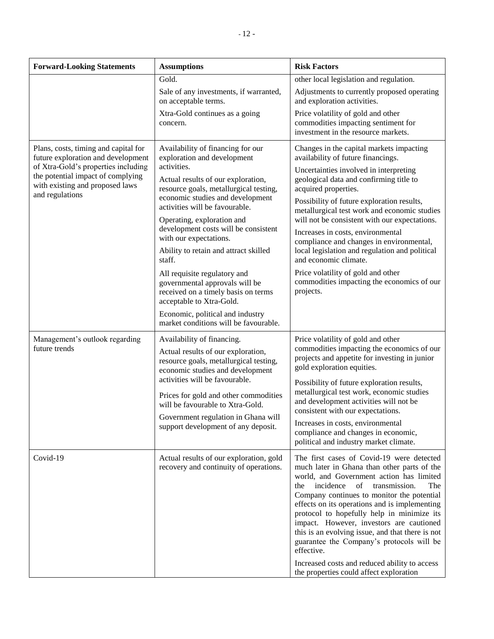| <b>Forward-Looking Statements</b>                                                                                                                                                                            | <b>Assumptions</b>                                                                                                                                 | <b>Risk Factors</b>                                                                                                                                                                                                                                                                                                                                                                                                                                                                                                                             |
|--------------------------------------------------------------------------------------------------------------------------------------------------------------------------------------------------------------|----------------------------------------------------------------------------------------------------------------------------------------------------|-------------------------------------------------------------------------------------------------------------------------------------------------------------------------------------------------------------------------------------------------------------------------------------------------------------------------------------------------------------------------------------------------------------------------------------------------------------------------------------------------------------------------------------------------|
|                                                                                                                                                                                                              | Gold.<br>Sale of any investments, if warranted,<br>on acceptable terms.<br>Xtra-Gold continues as a going                                          | other local legislation and regulation.<br>Adjustments to currently proposed operating<br>and exploration activities.<br>Price volatility of gold and other                                                                                                                                                                                                                                                                                                                                                                                     |
|                                                                                                                                                                                                              | concern.                                                                                                                                           | commodities impacting sentiment for<br>investment in the resource markets.                                                                                                                                                                                                                                                                                                                                                                                                                                                                      |
| Plans, costs, timing and capital for<br>future exploration and development<br>of Xtra-Gold's properties including<br>the potential impact of complying<br>with existing and proposed laws<br>and regulations | Availability of financing for our<br>exploration and development<br>activities.                                                                    | Changes in the capital markets impacting<br>availability of future financings.<br>Uncertainties involved in interpreting<br>geological data and confirming title to<br>acquired properties.<br>Possibility of future exploration results,<br>metallurgical test work and economic studies<br>will not be consistent with our expectations.<br>Increases in costs, environmental<br>compliance and changes in environmental,<br>local legislation and regulation and political<br>and economic climate.                                          |
|                                                                                                                                                                                                              | Actual results of our exploration,<br>resource goals, metallurgical testing,<br>economic studies and development<br>activities will be favourable. |                                                                                                                                                                                                                                                                                                                                                                                                                                                                                                                                                 |
|                                                                                                                                                                                                              | Operating, exploration and<br>development costs will be consistent<br>with our expectations.                                                       |                                                                                                                                                                                                                                                                                                                                                                                                                                                                                                                                                 |
|                                                                                                                                                                                                              | Ability to retain and attract skilled<br>staff.                                                                                                    |                                                                                                                                                                                                                                                                                                                                                                                                                                                                                                                                                 |
|                                                                                                                                                                                                              | All requisite regulatory and<br>governmental approvals will be<br>received on a timely basis on terms<br>acceptable to Xtra-Gold.                  | Price volatility of gold and other<br>commodities impacting the economics of our<br>projects.                                                                                                                                                                                                                                                                                                                                                                                                                                                   |
|                                                                                                                                                                                                              | Economic, political and industry<br>market conditions will be favourable.                                                                          |                                                                                                                                                                                                                                                                                                                                                                                                                                                                                                                                                 |
| Management's outlook regarding<br>future trends                                                                                                                                                              | Availability of financing.<br>Actual results of our exploration,<br>resource goals, metallurgical testing,<br>economic studies and development     | Price volatility of gold and other<br>commodities impacting the economics of our<br>projects and appetite for investing in junior<br>gold exploration equities.                                                                                                                                                                                                                                                                                                                                                                                 |
|                                                                                                                                                                                                              | activities will be favourable.<br>Prices for gold and other commodities<br>will be favourable to Xtra-Gold.                                        | Possibility of future exploration results,<br>metallurgical test work, economic studies<br>and development activities will not be<br>consistent with our expectations.<br>Increases in costs, environmental<br>compliance and changes in economic,<br>political and industry market climate.                                                                                                                                                                                                                                                    |
|                                                                                                                                                                                                              | Government regulation in Ghana will<br>support development of any deposit.                                                                         |                                                                                                                                                                                                                                                                                                                                                                                                                                                                                                                                                 |
| Covid-19                                                                                                                                                                                                     | Actual results of our exploration, gold<br>recovery and continuity of operations.                                                                  | The first cases of Covid-19 were detected<br>much later in Ghana than other parts of the<br>world, and Government action has limited<br>incidence<br>of<br>transmission.<br>The<br>the<br>Company continues to monitor the potential<br>effects on its operations and is implementing<br>protocol to hopefully help in minimize its<br>impact. However, investors are cautioned<br>this is an evolving issue, and that there is not<br>guarantee the Company's protocols will be<br>effective.<br>Increased costs and reduced ability to access |
|                                                                                                                                                                                                              |                                                                                                                                                    | the properties could affect exploration                                                                                                                                                                                                                                                                                                                                                                                                                                                                                                         |